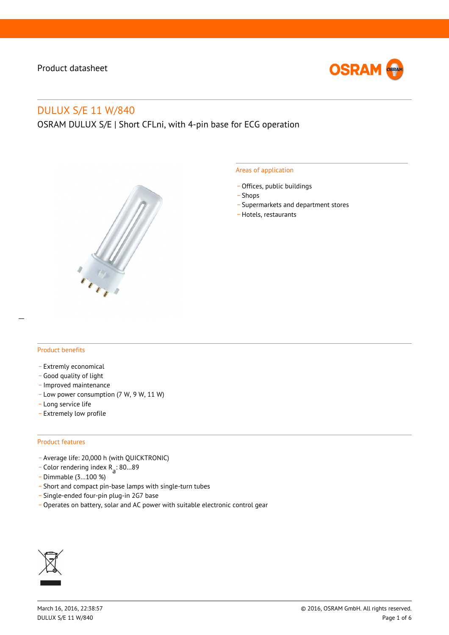

# DULUX S/E 11 W/840

OSRAM DULUX S/E | Short CFLni, with 4-pin base for ECG operation



#### Areas of application

- Offices, public buildings
- \_ Shops
- \_ Supermarkets and department stores
- Hotels, restaurants

#### Product benefits

- Extremly economical
- \_ Good quality of light
- \_ Improved maintenance
- \_ Low power consumption (7 W, 9 W, 11 W)
- \_ Long service life
- \_ Extremely low profile

#### Product features

- \_ Average life: 20,000 h (with QUICKTRONIC)
- $\overline{C}$  Color rendering index R<sub>a</sub>: 80...89
- \_ Dimmable (3…100 %)
- \_ Short and compact pin-base lamps with single-turn tubes
- \_ Single-ended four-pin plug-in 2G7 base
- Operates on battery, solar and AC power with suitable electronic control gear

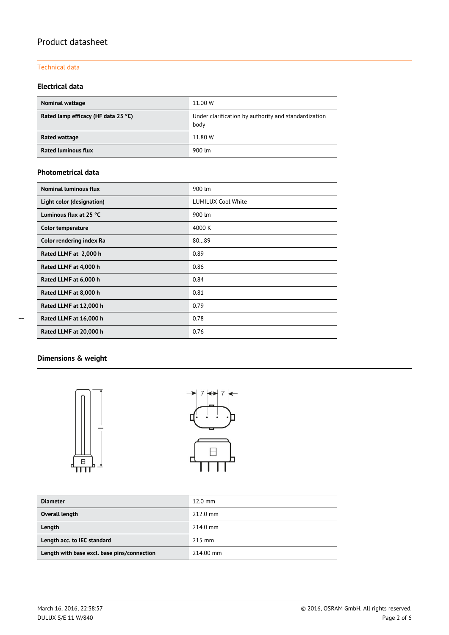#### Technical data

### **Electrical data**

| <b>Nominal wattage</b>              | 11.00 W                                                      |  |  |  |
|-------------------------------------|--------------------------------------------------------------|--|--|--|
| Rated lamp efficacy (HF data 25 °C) | Under clarification by authority and standardization<br>body |  |  |  |
| Rated wattage                       | 11.80 W                                                      |  |  |  |
| <b>Rated luminous flux</b>          | 900 lm                                                       |  |  |  |

#### **Photometrical data**

| Nominal luminous flux     | 900 lm                    |  |  |  |
|---------------------------|---------------------------|--|--|--|
| Light color (designation) | <b>LUMILUX Cool White</b> |  |  |  |
| Luminous flux at 25 °C    | 900 lm                    |  |  |  |
| <b>Color temperature</b>  | 4000 K                    |  |  |  |
| Color rendering index Ra  | 8089                      |  |  |  |
| Rated LLMF at 2,000 h     | 0.89                      |  |  |  |
| Rated LLMF at 4,000 h     | 0.86                      |  |  |  |
| Rated LLMF at 6,000 h     | 0.84                      |  |  |  |
| Rated LLMF at 8,000 h     | 0.81                      |  |  |  |
| Rated LLMF at 12,000 h    | 0.79                      |  |  |  |
| Rated LLMF at 16,000 h    | 0.78                      |  |  |  |
| Rated LLMF at 20,000 h    | 0.76                      |  |  |  |

# **Dimensions & weight**



| <b>Diameter</b>                             | $12.0$ mm          |
|---------------------------------------------|--------------------|
| Overall length                              | $212.0 \text{ mm}$ |
| Length                                      | $214.0 \text{ mm}$ |
| Length acc. to IEC standard                 | $215$ mm           |
| Length with base excl. base pins/connection | 214.00 mm          |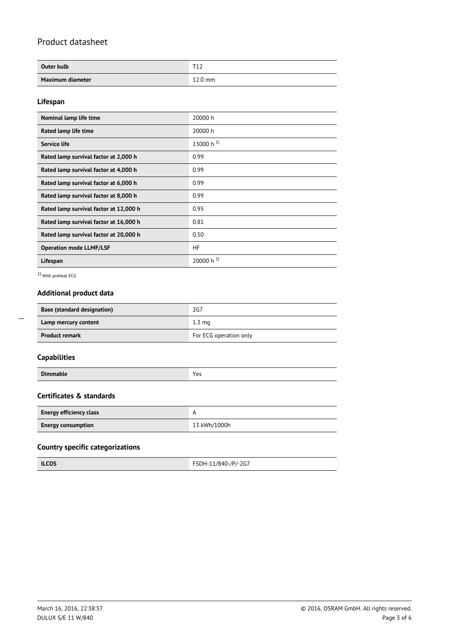| Outer bulb       | <b>T1</b> 2<br>ᆠ |
|------------------|------------------|
| Maximum diameter | $12.0$ mm        |

#### **Lifespan**

| Nominal lamp life time                 | 20000 h                 |
|----------------------------------------|-------------------------|
|                                        |                         |
| Rated lamp life time                   | 20000 h                 |
| Service life                           | 13000 h $^{1}$ )        |
| Rated lamp survival factor at 2,000 h  | 0.99                    |
| Rated lamp survival factor at 4,000 h  | 0.99                    |
| Rated lamp survival factor at 6,000 h  | 0.99                    |
| Rated lamp survival factor at 8,000 h  | 0.99                    |
| Rated lamp survival factor at 12,000 h | 0.95                    |
| Rated lamp survival factor at 16,000 h | 0.81                    |
| Rated lamp survival factor at 20,000 h | 0.50                    |
| <b>Operation mode LLMF/LSF</b>         | <b>HF</b>               |
| Lifespan                               | $20000 h$ <sup>1)</sup> |

1) With preheat ECG

## **Additional product data**

| <b>Base (standard designation)</b> | 2G7                    |  |  |
|------------------------------------|------------------------|--|--|
| Lamp mercury content               | $1.3 \text{ ma}$       |  |  |
| <b>Product remark</b>              | For ECG operation only |  |  |

## **Capabilities**

 $\overline{\phantom{a}}$ 

| Dir.<br>٠.<br>ш<br>ີ |  |
|----------------------|--|
|----------------------|--|

#### **Certificates & standards**

| <b>Energy efficiency class</b> |              |
|--------------------------------|--------------|
| <b>Energy consumption</b>      | 13 kWh/1000h |

#### **Country specific categorizations**

| <b>ILCOS</b> | FSDH-11/840-/P/-2G7 |
|--------------|---------------------|
|--------------|---------------------|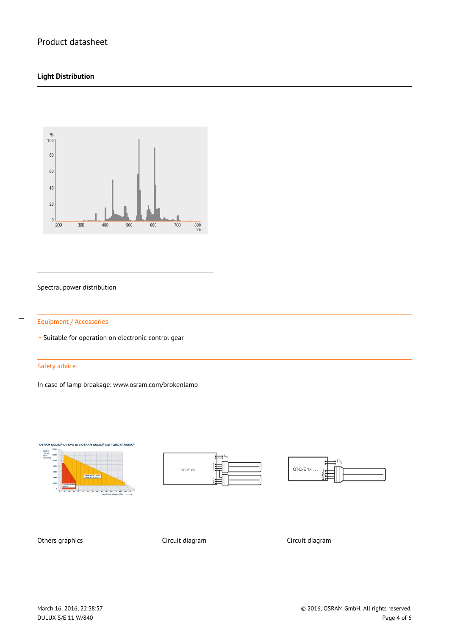### **Light Distribution**



#### Spectral power distribution



\_ Suitable for operation on electronic control gear

#### Safety advice

In case of lamp breakage: www.osram.com/brokenlamp







Others graphics **Circuit diagram** Circuit diagram Circuit diagram Circuit diagram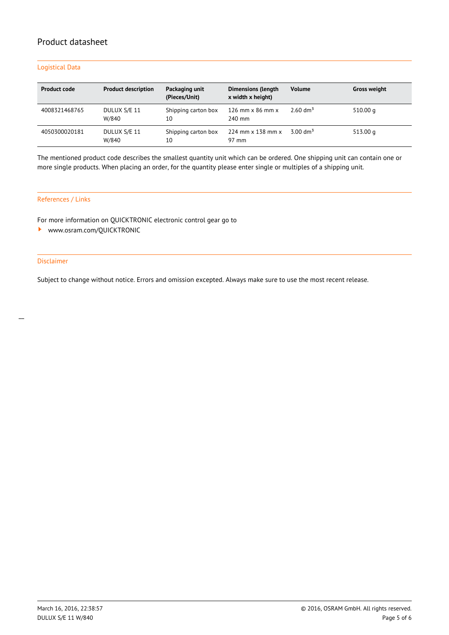#### Logistical Data

| <b>Product code</b> | <b>Product description</b> | Packaging unit<br>(Pieces/Unit) | <b>Dimensions (length</b><br>x width x height) | <b>Volume</b>       | <b>Gross weight</b> |
|---------------------|----------------------------|---------------------------------|------------------------------------------------|---------------------|---------------------|
| 4008321468765       | DULUX S/E 11<br>W/840      | Shipping carton box<br>10       | 126 mm $\times$ 86 mm $\times$<br>240 mm       | $2.60 \text{ dm}^3$ | 510.00 g            |
| 4050300020181       | DULUX S/E 11<br>W/840      | Shipping carton box<br>10       | $224$ mm $\times$ 138 mm $\times$<br>97 mm     | $3.00 \text{ dm}^3$ | 513.00 g            |

The mentioned product code describes the smallest quantity unit which can be ordered. One shipping unit can contain one or more single products. When placing an order, for the quantity please enter single or multiples of a shipping unit.

#### References / Links

For more information on QUICKTRONIC electronic control gear go to

<www.osram.com/QUICKTRONIC>

#### Disclaimer

Subject to change without notice. Errors and omission excepted. Always make sure to use the most recent release.